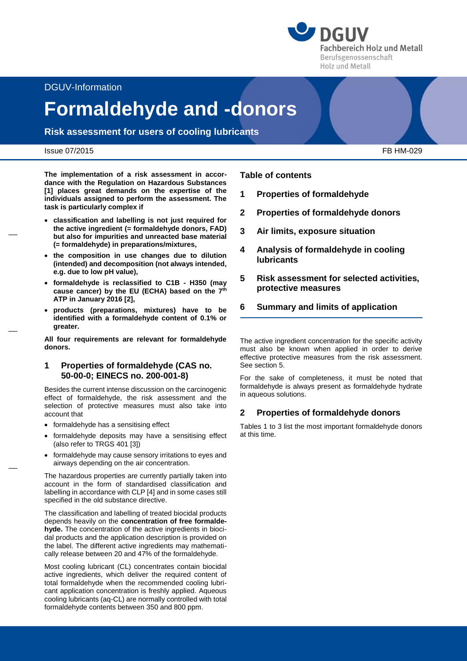**DGUV Fachbereich Holz und Metall** Berufsgenossenschaft Holz und Metall

DGUV-Information

# **Formaldehyde and -donors**

**Risk assessment for users of cooling lubricants**

#### Issue 07/2015 FB HM-029

 $\overline{\phantom{a}}$ 

 $\overline{a}$ 

 $\overline{a}$ 

**The implementation of a risk assessment in accordance with the Regulation on Hazardous Substances [1] places great demands on the expertise of the individuals assigned to perform the assessment. The task is particularly complex if**

- **classification and labelling is not just required for the active ingredient (= formaldehyde donors, FAD) but also for impurities and unreacted base material (= formaldehyde) in preparations/mixtures,**
- **the composition in use changes due to dilution (intended) and decomposition (not always intended, e.g. due to low pH value),**
- **formaldehyde is reclassified to C1B - H350 (may cause cancer) by the EU (ECHA) based on the 7 th ATP in January 2016 [2],**
- **products (preparations, mixtures) have to be identified with a formaldehyde content of 0.1% or greater.**

**All four requirements are relevant for formaldehyde donors.**

#### **1 Properties of formaldehyde (CAS no. 50-00-0; EINECS no. 200-001-8)**

Besides the current intense discussion on the carcinogenic effect of formaldehyde, the risk assessment and the selection of protective measures must also take into account that

- formaldehyde has a sensitising effect
- formaldehyde deposits may have a sensitising effect (also refer to TRGS 401 [3])
- formaldehyde may cause sensory irritations to eyes and airways depending on the air concentration.

The hazardous properties are currently partially taken into account in the form of standardised classification and labelling in accordance with CLP [4] and in some cases still specified in the old substance directive.

The classification and labelling of treated biocidal products depends heavily on the **concentration of free formaldehyde.** The concentration of the active ingredients in biocidal products and the application description is provided on the label. The different active ingredients may mathematically release between 20 and 47% of the formaldehyde.

Most cooling lubricant (CL) concentrates contain biocidal active ingredients, which deliver the required content of total formaldehyde when the recommended cooling lubricant application concentration is freshly applied. Aqueous cooling lubricants (aq-CL) are normally controlled with total formaldehyde contents between 350 and 800 ppm.

**Table of contents**

- **1 Properties of formaldehyde**
- **2 Properties of formaldehyde donors**
- **3 Air limits, exposure situation**
- **4 Analysis of formaldehyde in cooling lubricants**
- **5 Risk assessment for selected activities, protective measures**
- **6 Summary and limits of application**

The active ingredient concentration for the specific activity must also be known when applied in order to derive effective protective measures from the risk assessment. See section 5.

For the sake of completeness, it must be noted that formaldehyde is always present as formaldehyde hydrate in aqueous solutions.

## **2 Properties of formaldehyde donors**

Tables 1 to 3 list the most important formaldehyde donors at this time.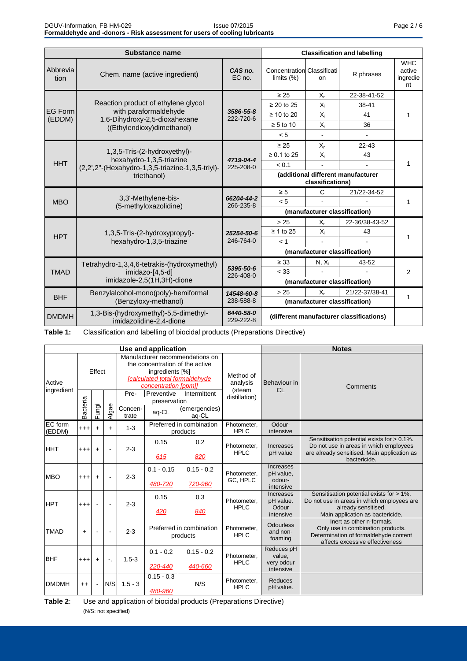|                           | Substance name                                                               | <b>Classification and labelling</b>                                |                                                        |                |                |                                        |
|---------------------------|------------------------------------------------------------------------------|--------------------------------------------------------------------|--------------------------------------------------------|----------------|----------------|----------------------------------------|
| Abbrevia<br>tion          | Chem. name (active ingredient)                                               | CAS no.<br>EC no.                                                  | <b>Concentration Classificati</b><br>limits $(%)$      | on             | R phrases      | <b>WHC</b><br>active<br>ingredie<br>nt |
|                           |                                                                              |                                                                    | $\geq 25$                                              | $X_{n}$        | 22-38-41-52    |                                        |
|                           | Reaction product of ethylene glycol                                          |                                                                    | $\geq$ 20 to 25                                        | $X_i$          | 38-41          |                                        |
| <b>IEG Form</b><br>(EDDM) | with paraformaldehyde<br>1,6-Dihydroxy-2,5-dioxahexane                       | 3586-55-8<br>222-720-6                                             | $\geq 10$ to 20                                        | $X_i$          | 41             |                                        |
|                           | ((Ethylendioxy)dimethanol)                                                   |                                                                    | $\geq 5$ to 10                                         | $X_i$          | 36             |                                        |
|                           |                                                                              |                                                                    | < 5                                                    | $\blacksquare$ |                |                                        |
|                           |                                                                              |                                                                    | $\geq 25$                                              | $X_n$          | 22-43          | 1                                      |
|                           | 1,3,5-Tris-(2-hydroxyethyl)-                                                 | 4719-04-4                                                          | $\geq 0.1$ to 25                                       | $X_i$          | 43             |                                        |
| <b>HHT</b>                | hexahydro-1,3,5-triazine<br>(2,2',2"-(Hexahydro-1,3,5-triazine-1,3,5-triyl)- | 225-208-0                                                          | < 0.1                                                  |                |                |                                        |
|                           | triethanol)                                                                  |                                                                    | (additional different manufacturer<br>classifications) |                |                |                                        |
|                           |                                                                              | 66204-44-2<br>266-235-8                                            | $\geq 5$                                               | C              | 21/22-34-52    |                                        |
| <b>MBO</b>                | 3,3'-Methylene-bis-<br>(5-methyloxazolidine)                                 |                                                                    | < 5                                                    |                |                |                                        |
|                           |                                                                              |                                                                    | (manufacturer classification)                          |                |                |                                        |
|                           |                                                                              | 25254-50-6<br>246-764-0                                            | > 25                                                   | $X_n$          | 22-36/38-43-52 |                                        |
| <b>HPT</b>                | 1,3,5-Tris-(2-hydroxypropyl)-                                                |                                                                    | $\geq 1$ to 25                                         | $X_i$          | 43             |                                        |
|                           | hexahydro-1,3,5-triazine                                                     |                                                                    | < 1                                                    |                |                |                                        |
|                           |                                                                              |                                                                    | (manufacturer classification)                          |                |                |                                        |
|                           | Tetrahydro-1,3,4,6-tetrakis-(hydroxymethyl)                                  |                                                                    | $\geq 33$                                              | $N, X_i$       | 43-52          | 2                                      |
| <b>TMAD</b>               | imidazo-[4,5-d]                                                              | 5395-50-6<br>226-408-0                                             | < 33                                                   |                |                |                                        |
|                           | imidazole-2,5(1H,3H)-dione                                                   |                                                                    | (manufacturer classification)                          |                |                |                                        |
| <b>BHF</b>                | Benzylalcohol-mono(poly)-hemiformal                                          | 14548-60-8<br>238-588-8                                            | > 25                                                   | $X_n$          | 21/22-37/38-41 | 1                                      |
|                           | (Benzyloxy-methanol)                                                         |                                                                    | (manufacturer classification)                          |                |                |                                        |
| <b>DMDMH</b>              | 1,3-Bis-(hydroxymethyl)-5,5-dimethyl-<br>imidazolidine-2,4-dione             | 6440-58-0<br>(different manufacturer classifications)<br>229-222-8 |                                                        |                |                |                                        |

**Table 1:** Classification and labelling of biocidal products (Preparations Directive)

|                      |                   |                          |       |                                                                                                                                                 | Use and application                  |                                        |                                 | <b>Notes</b>                                    |                                                                                                                                                     |  |  |
|----------------------|-------------------|--------------------------|-------|-------------------------------------------------------------------------------------------------------------------------------------------------|--------------------------------------|----------------------------------------|---------------------------------|-------------------------------------------------|-----------------------------------------------------------------------------------------------------------------------------------------------------|--|--|
| Active<br>ingredient | Effect            |                          |       | Manufacturer recommendations on<br>the concentration of the active<br>ingredients [%]<br>[calculated total formaldehyde<br>concentration [ppm]] |                                      |                                        | Method of<br>analysis<br>(steam | Behaviour in<br>CL                              | Comments                                                                                                                                            |  |  |
|                      | Bacteria<br>Fungi |                          | Algae | Pre-<br>Concen-<br>trate                                                                                                                        | Preventive<br>preservation<br>aq-CL  | Intermittent<br>(emergencies)<br>aq-CL | distillation)                   |                                                 |                                                                                                                                                     |  |  |
| EC form<br>(EDDM)    | $+ + +$           | $+$                      | $+$   | $1 - 3$                                                                                                                                         | Preferred in combination<br>products |                                        | Photometer.<br><b>HPLC</b>      | Odour-<br>intensive                             |                                                                                                                                                     |  |  |
| <b>HHT</b>           | $^{+++}$          | $+$                      |       | $2 - 3$                                                                                                                                         | 0.2<br>0.15<br>615<br>820            |                                        | Photometer.<br><b>HPLC</b>      | <b>Increases</b><br>pH value                    | Sensitisation potential exists for > 0.1%.<br>Do not use in areas in which employees<br>are already sensitised. Main application as<br>bactericide. |  |  |
| <b>MBO</b>           | $^{+++}$          | $+$                      |       | $2 - 3$                                                                                                                                         | $0.1 - 0.15$<br>480-720              | $0.15 - 0.2$<br>720-960                | Photometer,<br>GC, HPLC         | Increases<br>pH value,<br>odour-<br>intensive   |                                                                                                                                                     |  |  |
| <b>HPT</b>           | $^{+++}$          |                          |       | $2 - 3$                                                                                                                                         | 0.15<br>0.3<br>420<br>840            |                                        | Photometer,<br><b>HPLC</b>      | Increases<br>pH value.<br>Odour<br>intensive    | Sensitisation potential exists for > 1%.<br>Do not use in areas in which employees are<br>already sensitised.<br>Main application as bactericide.   |  |  |
| <b>TMAD</b>          | $\ddot{}$         |                          |       | $2 - 3$                                                                                                                                         | Preferred in combination<br>products |                                        | Photometer.<br><b>HPLC</b>      | <b>Odourless</b><br>and non-<br>foaming         | Inert as other n-formals.<br>Only use in combination products.<br>Determination of formaldehyde content<br>affects excessive effectiveness          |  |  |
| <b>BHF</b>           | $^{+++}$          | $\ddot{\phantom{1}}$     | ۰.    | $1.5 - 3$                                                                                                                                       | $0.1 - 0.2$<br>220-440               | $0.15 - 0.2$<br>440-660                | Photometer.<br><b>HPLC</b>      | Reduces pH<br>value.<br>very odour<br>intensive |                                                                                                                                                     |  |  |
| <b>DMDMH</b>         | $^{++}$           | $\overline{\phantom{a}}$ | N/S   | $1.5 - 3$                                                                                                                                       | $0.15 - 0.3$<br>480-960              | N/S                                    | Photometer.<br><b>HPLC</b>      | <b>Reduces</b><br>pH value.                     |                                                                                                                                                     |  |  |

**Table 2**: Use and application of biocidal products (Preparations Directive) (N/S: not specified)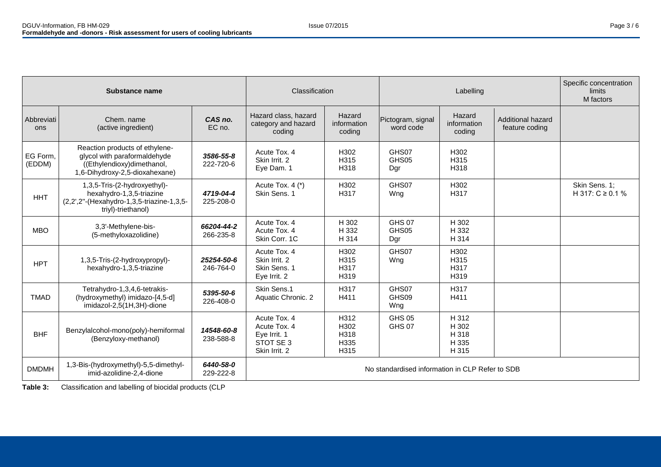|                    | Substance name                                                                                                                 |                         | Classification                                                            |                                      | Labelling                                       |                                           |                                     | Specific concentration<br><b>limits</b><br>M factors |
|--------------------|--------------------------------------------------------------------------------------------------------------------------------|-------------------------|---------------------------------------------------------------------------|--------------------------------------|-------------------------------------------------|-------------------------------------------|-------------------------------------|------------------------------------------------------|
| Abbreviati<br>ons  | CAS no.<br>Chem. name<br>EC no.<br>(active ingredient)                                                                         |                         | Hazard class, hazard<br>category and hazard<br>coding                     | Hazard<br>information<br>coding      | Pictogram, signal<br>word code                  | Hazard<br>information<br>coding           | Additional hazard<br>feature coding |                                                      |
| EG Form,<br>(EDDM) | Reaction products of ethylene-<br>glycol with paraformaldehyde<br>((Ethylendioxy)dimethanol,<br>1,6-Dihydroxy-2,5-dioxahexane) | 3586-55-8<br>222-720-6  | Acute Tox. 4<br>Skin Irrit, 2<br>Eye Dam. 1                               | H302<br>H315<br>H318                 | GHS07<br>GHS05<br>Dgr                           | H302<br>H315<br>H318                      |                                     |                                                      |
| <b>HHT</b>         | 1,3,5-Tris-(2-hydroxyethyl)-<br>hexahydro-1,3,5-triazine<br>(2,2',2"-(Hexahydro-1,3,5-triazine-1,3,5-<br>triyl)-triethanol)    | 4719-04-4<br>225-208-0  | Acute Tox. 4 (*)<br>Skin Sens. 1                                          | H302<br>H317                         | GHS07<br>Wng                                    | H302<br>H317                              |                                     | Skin Sens. 1;<br>H 317: C ≥ 0.1 %                    |
| <b>MBO</b>         | 3,3'-Methylene-bis-<br>(5-methyloxazolidine)                                                                                   | 66204-44-2<br>266-235-8 | Acute Tox. 4<br>Acute Tox. 4<br>Skin Corr. 1C                             | H 302<br>H 332<br>H 314              | <b>GHS 07</b><br>GHS05<br>Dgr                   | H 302<br>H 332<br>H 314                   |                                     |                                                      |
| <b>HPT</b>         | 1,3,5-Tris-(2-hydroxypropyl)-<br>hexahydro-1,3,5-triazine                                                                      | 25254-50-6<br>246-764-0 | Acute Tox. 4<br>Skin Irrit. 2<br>Skin Sens, 1<br>Eye Irrit. 2             | H302<br>H315<br>H317<br>H319         | GHS07<br>Wng                                    | H302<br>H315<br>H317<br>H319              |                                     |                                                      |
| <b>TMAD</b>        | Tetrahydro-1,3,4,6-tetrakis-<br>(hydroxymethyl) imidazo-[4,5-d]<br>imidazol-2,5(1H,3H)-dione                                   | 5395-50-6<br>226-408-0  | Skin Sens.1<br>Aquatic Chronic. 2                                         | H317<br>H411                         | GHS07<br>GHS09<br>Wng                           | H317<br>H411                              |                                     |                                                      |
| <b>BHF</b>         | Benzylalcohol-mono(poly)-hemiformal<br>(Benzyloxy-methanol)                                                                    | 14548-60-8<br>238-588-8 | Acute Tox, 4<br>Acute Tox, 4<br>Eye Irrit. 1<br>STOT SE3<br>Skin Irrit, 2 | H312<br>H302<br>H318<br>H335<br>H315 | <b>GHS 05</b><br><b>GHS 07</b>                  | H 312<br>H 302<br>H 318<br>H 335<br>H 315 |                                     |                                                      |
| <b>DMDMH</b>       | 1,3-Bis-(hydroxymethyl)-5,5-dimethyl-<br>imid-azolidine-2,4-dione                                                              | 6440-58-0<br>229-222-8  |                                                                           |                                      | No standardised information in CLP Refer to SDB |                                           |                                     |                                                      |

**Table 3:** Classification and labelling of biocidal products (CLP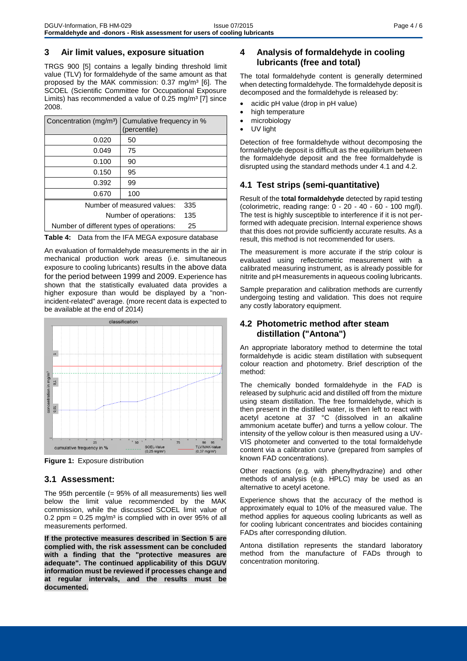#### **3 Air limit values, exposure situation**

TRGS 900 [5] contains a legally binding threshold limit value (TLV) for formaldehyde of the same amount as that proposed by the MAK commission: 0.37 mg/m<sup>3</sup> [6]. The SCOEL (Scientific Committee for Occupational Exposure Limits) has recommended a value of  $0.25 \text{ mg/m}^3$  [7] since 2008.

| Concentration (mg/m <sup>3</sup> )       | Cumulative frequency in %<br>(percentile) |  |
|------------------------------------------|-------------------------------------------|--|
| 0.020                                    | 50                                        |  |
| 0.049                                    | 75                                        |  |
| 0.100                                    | 90                                        |  |
| 0.150                                    | 95                                        |  |
| 0.392                                    | 99                                        |  |
| 0.670                                    | 100                                       |  |
| Number of measured values:               | 335                                       |  |
| Number of operations:                    | 135                                       |  |
| Number of different types of operations: | 25                                        |  |

**Table 4:** Data from the IFA MEGA exposure database

An evaluation of formaldehyde measurements in the air in mechanical production work areas (i.e. simultaneous exposure to cooling lubricants) results in the above data for the period between 1999 and 2009. Experience has shown that the statistically evaluated data provides a higher exposure than would be displayed by a "nonincident-related" average. (more recent data is expected to be available at the end of 2014)



**Figure 1:** Exposure distribution

## **3.1 Assessment:**

The 95th percentile (= 95% of all measurements) lies well below the limit value recommended by the MAK commission, while the discussed SCOEL limit value of 0.2 ppm =  $0.25$  mg/m<sup>3</sup> is complied with in over 95% of all measurements performed.

**If the protective measures described in Section 5 are complied with, the risk assessment can be concluded with a finding that the "protective measures are adequate". The continued applicability of this DGUV information must be reviewed if processes change and at regular intervals, and the results must be documented.**

# **4 Analysis of formaldehyde in cooling lubricants (free and total)**

The total formaldehyde content is generally determined when detecting formaldehyde. The formaldehyde deposit is decomposed and the formaldehyde is released by:

- acidic pH value (drop in pH value)
- high temperature
- microbiology
- UV light

Detection of free formaldehyde without decomposing the formaldehyde deposit is difficult as the equilibrium between the formaldehyde deposit and the free formaldehyde is disrupted using the standard methods under 4.1 and 4.2.

# **4.1 Test strips (semi-quantitative)**

Result of the **total formaldehyde** detected by rapid testing (colorimetric, reading range: 0 - 20 - 40 - 60 - 100 mg/l). The test is highly susceptible to interference if it is not performed with adequate precision. Internal experience shows that this does not provide sufficiently accurate results. As a result, this method is not recommended for users.

The measurement is more accurate if the strip colour is evaluated using reflectometric measurement with a calibrated measuring instrument, as is already possible for nitrite and pH measurements in aqueous cooling lubricants.

Sample preparation and calibration methods are currently undergoing testing and validation. This does not require any costly laboratory equipment.

# **4.2 Photometric method after steam distillation ("Antona")**

An appropriate laboratory method to determine the total formaldehyde is acidic steam distillation with subsequent colour reaction and photometry. Brief description of the method:

The chemically bonded formaldehyde in the FAD is released by sulphuric acid and distilled off from the mixture using steam distillation. The free formaldehyde, which is then present in the distilled water, is then left to react with acetyl acetone at 37 °C (dissolved in an alkaline ammonium acetate buffer) and turns a yellow colour. The intensity of the yellow colour is then measured using a UV-VIS photometer and converted to the total formaldehyde content via a calibration curve (prepared from samples of known FAD concentrations).

Other reactions (e.g. with phenylhydrazine) and other methods of analysis (e.g. HPLC) may be used as an alternative to acetyl acetone.

Experience shows that the accuracy of the method is approximately equal to 10% of the measured value. The method applies for aqueous cooling lubricants as well as for cooling lubricant concentrates and biocides containing FADs after corresponding dilution.

Antona distillation represents the standard laboratory method from the manufacture of FADs through to concentration monitoring.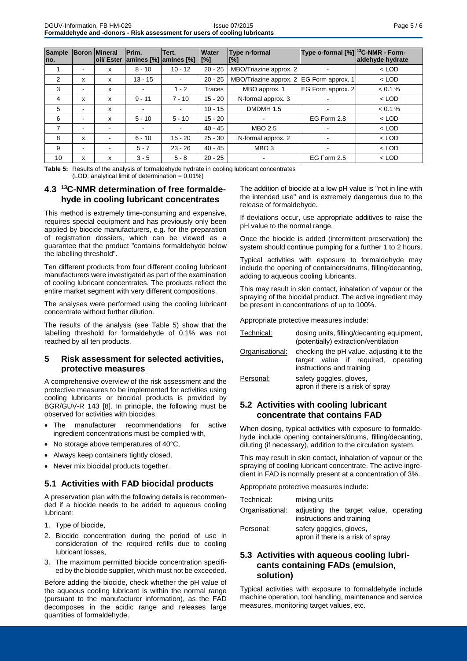| <b>Sample</b><br>Ino. |   | <b>Boron Mineral</b><br><b>loil/Ester</b> | Prim.     | Tert.<br> amines [%]  amines [%] | <b>Water</b><br>$\lbrack\lbrack\% \rbrack\rbrack$ | Type o-formal [%] <sup>13</sup> C-NMR - Form-<br>Type n-formal<br>$[\%]$ |                   | aldehyde hydrate |
|-----------------------|---|-------------------------------------------|-----------|----------------------------------|---------------------------------------------------|--------------------------------------------------------------------------|-------------------|------------------|
|                       |   | x                                         | $8 - 10$  | $10 - 12$                        | $20 - 25$                                         | MBO/Triazine approx. 2                                                   |                   | $<$ LOD          |
| 2                     | x | x                                         | $13 - 15$ |                                  | $20 - 25$                                         | MBO/Triazine approx. 2                                                   | EG Form approx. 1 | $<$ LOD          |
| 3                     |   | x                                         |           | $1 - 2$                          | Traces                                            | MBO approx. 1                                                            | EG Form approx. 2 | $< 0.1 \%$       |
| 4                     | x | x                                         | $9 - 11$  | $7 - 10$                         | $15 - 20$                                         | N-formal approx. 3                                                       |                   | $<$ LOD          |
| 5                     |   | x                                         |           | $\blacksquare$                   | $10 - 15$                                         | DMDMH 1.5                                                                |                   | $< 0.1 \%$       |
| 6                     |   | x                                         | $5 - 10$  | $5 - 10$                         | $15 - 20$                                         | $\blacksquare$                                                           | EG Form 2.8       | $<$ LOD          |
| 7                     |   |                                           |           |                                  | $40 - 45$                                         | MBO 2.5                                                                  |                   | $<$ LOD          |
| 8                     | x | $\overline{\phantom{0}}$                  | $6 - 10$  | $15 - 20$                        | $25 - 30$                                         | N-formal approx. 2                                                       |                   | $<$ LOD          |
| 9                     |   |                                           | $5 - 7$   | $23 - 26$                        | $40 - 45$                                         | MBO <sub>3</sub>                                                         | $\blacksquare$    | $<$ LOD          |
| 10                    | x | x                                         | $3 - 5$   | $5 - 8$                          | $20 - 25$                                         | -                                                                        | EG Form 2.5       | $<$ LOD          |

**Table 5:** Results of the analysis of formaldehyde hydrate in cooling lubricant concentrates  $(LOD:$  analytical limit of determination =  $0.01\%$ )

# **4.3 <sup>13</sup>C-NMR determination of free formaldehyde in cooling lubricant concentrates**

This method is extremely time-consuming and expensive, requires special equipment and has previously only been applied by biocide manufacturers, e.g. for the preparation of registration dossiers, which can be viewed as a guarantee that the product "contains formaldehyde below the labelling threshold".

Ten different products from four different cooling lubricant manufacturers were investigated as part of the examination of cooling lubricant concentrates. The products reflect the entire market segment with very different compositions.

The analyses were performed using the cooling lubricant concentrate without further dilution.

The results of the analysis (see Table 5) show that the labelling threshold for formaldehyde of 0.1% was not reached by all ten products.

#### **5 Risk assessment for selected activities, protective measures**

A comprehensive overview of the risk assessment and the protective measures to be implemented for activities using cooling lubricants or biocidal products is provided by BGR/GUV-R 143 [8]. In principle, the following must be observed for activities with biocides:

- The manufacturer recommendations for active ingredient concentrations must be complied with,
- No storage above temperatures of 40°C,
- Always keep containers tightly closed,
- Never mix biocidal products together.

## **5.1 Activities with FAD biocidal products**

A preservation plan with the following details is recommended if a biocide needs to be added to aqueous cooling lubricant:

- 1. Type of biocide,
- 2. Biocide concentration during the period of use in consideration of the required refills due to cooling lubricant losses,
- 3. The maximum permitted biocide concentration specified by the biocide supplier, which must not be exceeded.

Before adding the biocide, check whether the pH value of the aqueous cooling lubricant is within the normal range (pursuant to the manufacturer information), as the FAD decomposes in the acidic range and releases large quantities of formaldehyde.

The addition of biocide at a low pH value is "not in line with the intended use" and is extremely dangerous due to the release of formaldehyde.

If deviations occur, use appropriate additives to raise the pH value to the normal range.

Once the biocide is added (intermittent preservation) the system should continue pumping for a further 1 to 2 hours.

Typical activities with exposure to formaldehyde may include the opening of containers/drums, filling/decanting, adding to aqueous cooling lubricants.

This may result in skin contact, inhalation of vapour or the spraying of the biocidal product. The active ingredient may be present in concentrations of up to 100%.

Appropriate protective measures include:

| Technical:      | dosing units, filling/decanting equipment,<br>(potentially) extraction/ventilation                             |  |  |  |  |  |  |
|-----------------|----------------------------------------------------------------------------------------------------------------|--|--|--|--|--|--|
| Organisational: | checking the pH value, adjusting it to the<br>target value if required, operating<br>instructions and training |  |  |  |  |  |  |
| Personal:       | safety goggles, gloves,<br>apron if there is a risk of spray                                                   |  |  |  |  |  |  |

# **5.2 Activities with cooling lubricant concentrate that contains FAD**

When dosing, typical activities with exposure to formaldehyde include opening containers/drums, filling/decanting, diluting (if necessary), addition to the circulation system.

This may result in skin contact, inhalation of vapour or the spraying of cooling lubricant concentrate. The active ingredient in FAD is normally present at a concentration of 3%.

Appropriate protective measures include:

| Technical:      | mixing units                                                       |  |  |  |  |  |  |  |
|-----------------|--------------------------------------------------------------------|--|--|--|--|--|--|--|
| Organisational: | adjusting the target value, operating<br>instructions and training |  |  |  |  |  |  |  |
| Personal:       | safety goggles, gloves,<br>apron if there is a risk of spray       |  |  |  |  |  |  |  |

## **5.3 Activities with aqueous cooling lubricants containing FADs (emulsion, solution)**

Typical activities with exposure to formaldehyde include machine operation, tool handling, maintenance and service measures, monitoring target values, etc.